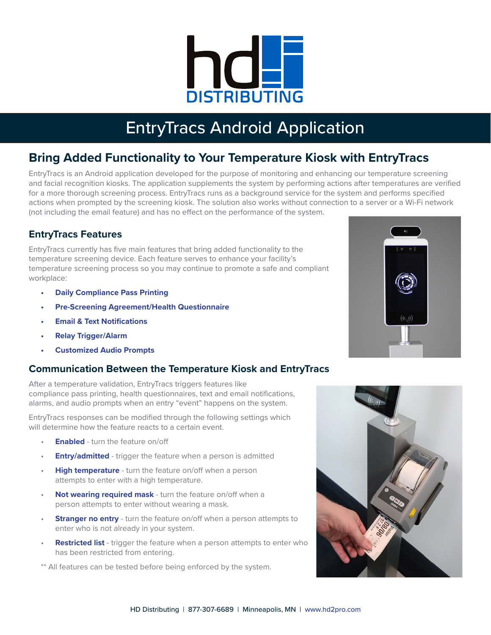

# EntryTracs Android Application

# **Bring Added Functionality to Your Temperature Kiosk with EntryTracs**

EntryTracs is an Android application developed for the purpose of monitoring and enhancing our temperature screening and facial recognition kiosks. The application supplements the system by performing actions after temperatures are verified for a more thorough screening process. EntryTracs runs as a background service for the system and performs specified actions when prompted by the screening kiosk. The solution also works without connection to a server or a Wi-Fi network (not including the email feature) and has no effect on the performance of the system.

## **EntryTracs Features**

EntryTracs currently has five main features that bring added functionality to the temperature screening device. Each feature serves to enhance your facility's temperature screening process so you may continue to promote a safe and compliant workplace:

- **• Daily Compliance Pass Printing**
- **• Pre-Screening Agreement/Health Questionnaire**
- **• Email & Text Notifications**
- **• Relay Trigger/Alarm**
- **• Customized Audio Prompts**

### **Communication Between the Temperature Kiosk and EntryTracs**

After a temperature validation, EntryTracs triggers features like compliance pass printing, health questionnaires, text and email notifications, alarms, and audio prompts when an entry "event" happens on the system.

EntryTracs responses can be modified through the following settings which will determine how the feature reacts to a certain event.

- **Enabled** turn the feature on/off
- **Entry/admitted** trigger the feature when a person is admitted
- **High temperature** turn the feature on/off when a person attempts to enter with a high temperature.
- **Not wearing required mask** turn the feature on/off when a person attempts to enter without wearing a mask.
- **Stranger no entry** turn the feature on/off when a person attempts to enter who is not already in your system.
- **Restricted list** trigger the feature when a person attempts to enter who has been restricted from entering.

\*\* All features can be tested before being enforced by the system.